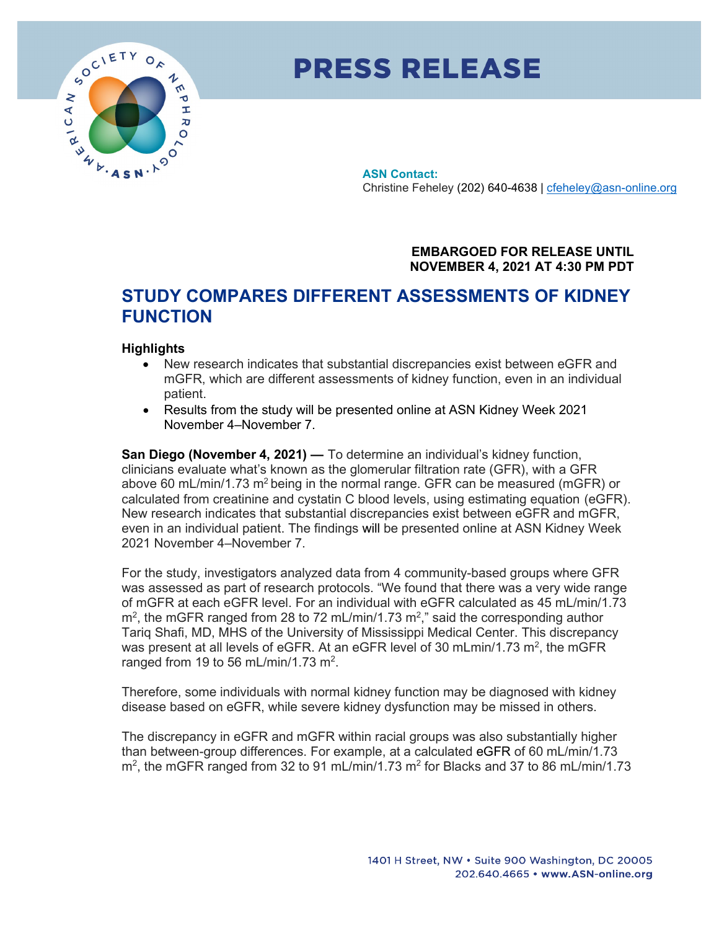

## **PRESS RELEASE**

**ASN Contact:** Christine Feheley (202) 640-4638 | [cfeheley@asn-online.org](mailto:cfeheley@asn-online.org)

> **EMBARGOED FOR RELEASE UNTIL NOVEMBER 4, 2021 AT 4:30 PM PDT**

## **STUDY COMPARES DIFFERENT ASSESSMENTS OF KIDNEY FUNCTION**

## **Highlights**

- New research indicates that substantial discrepancies exist between eGFR and mGFR, which are different assessments of kidney function, even in an individual patient.
- Results from the study will be presented online at ASN Kidney Week 2021 November 4–November 7.

**San Diego (November 4, 2021) —** To determine an individual's kidney function, clinicians evaluate what's known as the glomerular filtration rate (GFR), with a GFR above 60 mL/min/1.73 m<sup>2</sup> being in the normal range. GFR can be measured (mGFR) or calculated from creatinine and cystatin C blood levels, using estimating equation (eGFR). New research indicates that substantial discrepancies exist between eGFR and mGFR, even in an individual patient. The findings will be presented online at ASN Kidney Week 2021 November 4–November 7.

For the study, investigators analyzed data from 4 community-based groups where GFR was assessed as part of research protocols. "We found that there was a very wide range of mGFR at each eGFR level. For an individual with eGFR calculated as 45 mL/min/1.73  $m^2$ , the mGFR ranged from 28 to 72 mL/min/1.73  $m^2$ ," said the corresponding author Tariq Shafi, MD, MHS of the University of Mississippi Medical Center. This discrepancy was present at all levels of eGFR. At an eGFR level of 30 mLmin/1.73  $m^2$ , the mGFR ranged from 19 to 56 mL/min/1.73 m<sup>2</sup>.

Therefore, some individuals with normal kidney function may be diagnosed with kidney disease based on eGFR, while severe kidney dysfunction may be missed in others.

The discrepancy in eGFR and mGFR within racial groups was also substantially higher than between-group differences. For example, at a calculated eGFR of 60 mL/min/1.73 m<sup>2</sup>, the mGFR ranged from 32 to 91 mL/min/1.73 m<sup>2</sup> for Blacks and 37 to 86 mL/min/1.73